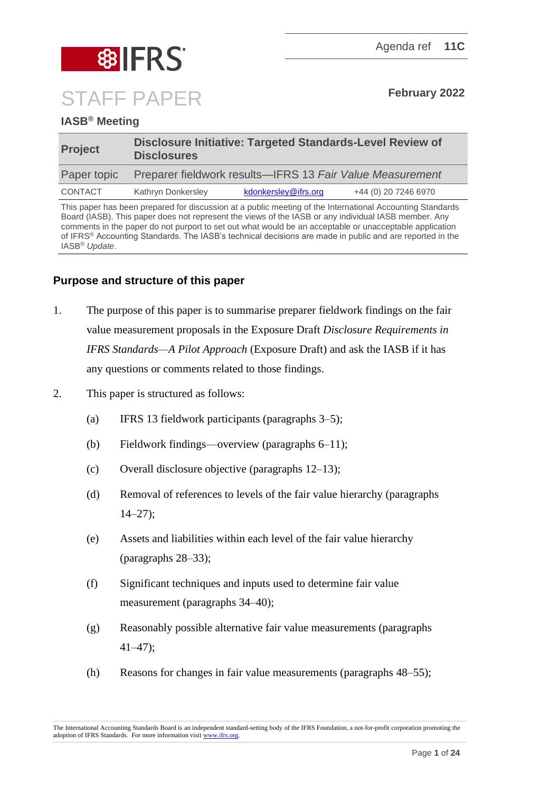

# **IASB® Meeting**

| <b>Project</b> | <b>Disclosure Initiative: Targeted Standards-Level Review of</b><br><b>Disclosures</b> |                      |                      |
|----------------|----------------------------------------------------------------------------------------|----------------------|----------------------|
| Paper topic    | Preparer fieldwork results—IFRS 13 Fair Value Measurement                              |                      |                      |
| CONTACT        | Kathryn Donkersley                                                                     | kdonkersley@ifrs.org | +44 (0) 20 7246 6970 |

This paper has been prepared for discussion at a public meeting of the International Accounting Standards Board (IASB). This paper does not represent the views of the IASB or any individual IASB member. Any comments in the paper do not purport to set out what would be an acceptable or unacceptable application of IFRS® Accounting Standards. The IASB's technical decisions are made in public and are reported in the IASB® *Update*.

# **Purpose and structure of this paper**

- 1. The purpose of this paper is to summarise preparer fieldwork findings on the fair value measurement proposals in the Exposure Draft *Disclosure Requirements in IFRS Standards—A Pilot Approach* (Exposure Draft) and ask the IASB if it has any questions or comments related to those findings.
- 2. This paper is structured as follows:
	- (a) IFRS 13 fieldwork participants (paragraphs [3](#page-1-0)[–5\)](#page-1-1);
	- (b) Fieldwork findings—overview (paragraphs [6–](#page-2-0)[11\)](#page-5-0);
	- (c) Overall disclosure objective (paragraphs  $12-13$ );
	- (d) Removal of references to levels of the fair value hierarchy (paragraphs  $14-27$  $14-27$ :
	- (e) Assets and liabilities within each level of the fair value hierarchy (paragraphs [28](#page-11-1)[–33\)](#page-13-0);
	- (f) Significant techniques and inputs used to determine fair value measurement (paragraphs [34](#page-13-1)[–40\)](#page-14-0);
	- (g) Reasonably possible alternative fair value measurements (paragraphs [41](#page-14-1)[–47\)](#page-17-0);
	- (h) Reasons for changes in fair value measurements (paragraphs [48–](#page-18-0)[55\)](#page-20-0);

The International Accounting Standards Board is an independent standard-setting body of the IFRS Foundation, a not-for-profit corporation promoting the adoption of IFRS Standards. For more information visi[t www.ifrs.org.](http://www.ifrs.org/)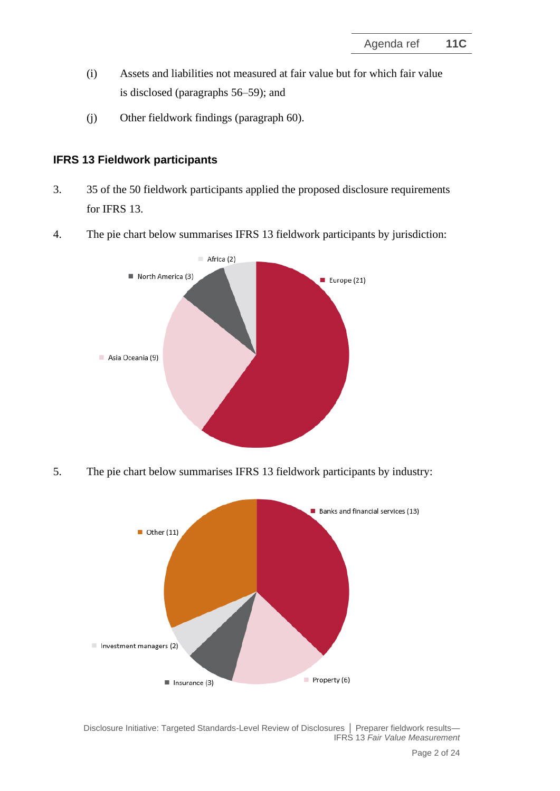- (i) Assets and liabilities not measured at fair value but for which fair value is disclosed (paragraphs [56–](#page-21-0)[59\)](#page-22-0); and
- (j) Other fieldwork findings (paragraph [60\)](#page-22-1).

# **IFRS 13 Fieldwork participants**

- <span id="page-1-0"></span>3. 35 of the 50 fieldwork participants applied the proposed disclosure requirements for IFRS 13.
- 4. The pie chart below summarises IFRS 13 fieldwork participants by jurisdiction:



<span id="page-1-1"></span>5. The pie chart below summarises IFRS 13 fieldwork participants by industry:

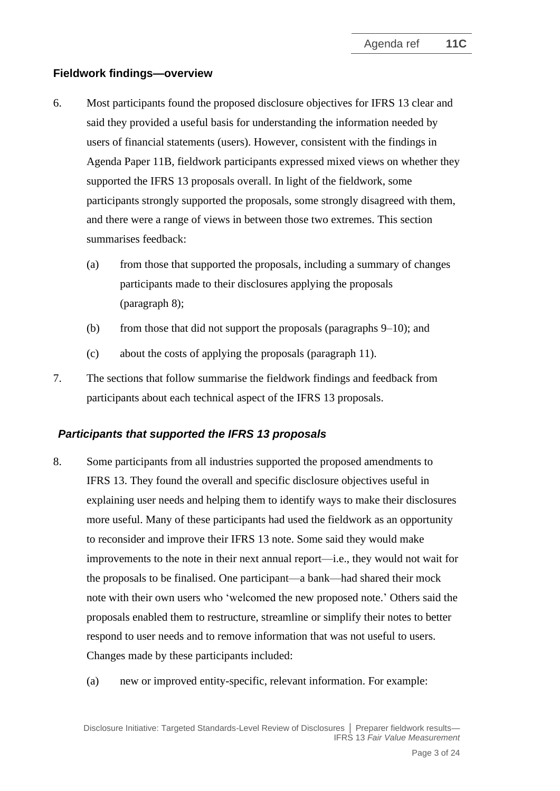# **Fieldwork findings—overview**

- <span id="page-2-0"></span>6. Most participants found the proposed disclosure objectives for IFRS 13 clear and said they provided a useful basis for understanding the information needed by users of financial statements (users). However, consistent with the findings in Agenda Paper 11B, fieldwork participants expressed mixed views on whether they supported the IFRS 13 proposals overall. In light of the fieldwork, some participants strongly supported the proposals, some strongly disagreed with them, and there were a range of views in between those two extremes. This section summarises feedback:
	- (a) from those that supported the proposals, including a summary of changes participants made to their disclosures applying the proposals (paragraph [8\)](#page-2-1);
	- (b) from those that did not support the proposals (paragraphs  $9-10$ ); and
	- (c) about the costs of applying the proposals (paragraph [11\)](#page-5-0).
- 7. The sections that follow summarise the fieldwork findings and feedback from participants about each technical aspect of the IFRS 13 proposals.

# *Participants that supported the IFRS 13 proposals*

- <span id="page-2-1"></span>8. Some participants from all industries supported the proposed amendments to IFRS 13. They found the overall and specific disclosure objectives useful in explaining user needs and helping them to identify ways to make their disclosures more useful. Many of these participants had used the fieldwork as an opportunity to reconsider and improve their IFRS 13 note. Some said they would make improvements to the note in their next annual report—i.e., they would not wait for the proposals to be finalised. One participant—a bank—had shared their mock note with their own users who 'welcomed the new proposed note.' Others said the proposals enabled them to restructure, streamline or simplify their notes to better respond to user needs and to remove information that was not useful to users. Changes made by these participants included:
	- (a) new or improved entity-specific, relevant information. For example: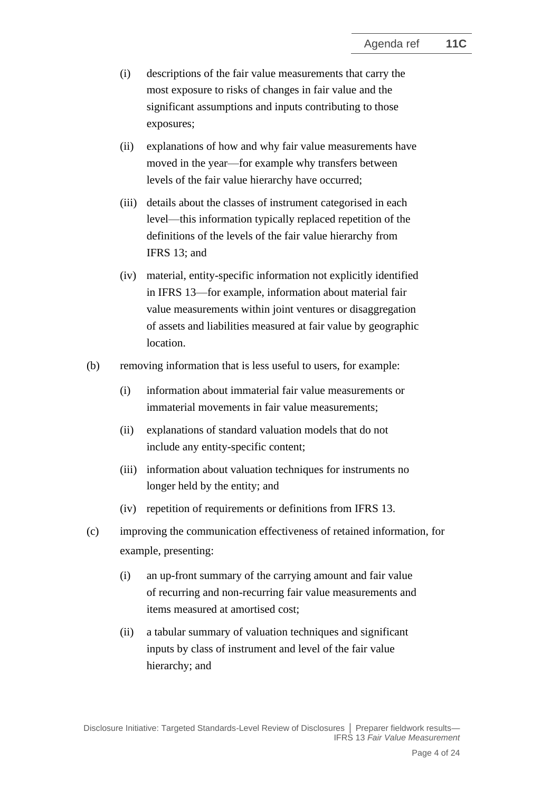- (i) descriptions of the fair value measurements that carry the most exposure to risks of changes in fair value and the significant assumptions and inputs contributing to those exposures;
- (ii) explanations of how and why fair value measurements have moved in the year—for example why transfers between levels of the fair value hierarchy have occurred;
- (iii) details about the classes of instrument categorised in each level—this information typically replaced repetition of the definitions of the levels of the fair value hierarchy from IFRS 13; and
- (iv) material, entity-specific information not explicitly identified in IFRS 13—for example, information about material fair value measurements within joint ventures or disaggregation of assets and liabilities measured at fair value by geographic location.
- (b) removing information that is less useful to users, for example:
	- (i) information about immaterial fair value measurements or immaterial movements in fair value measurements;
	- (ii) explanations of standard valuation models that do not include any entity-specific content;
	- (iii) information about valuation techniques for instruments no longer held by the entity; and
	- (iv) repetition of requirements or definitions from IFRS 13.
- (c) improving the communication effectiveness of retained information, for example, presenting:
	- (i) an up-front summary of the carrying amount and fair value of recurring and non-recurring fair value measurements and items measured at amortised cost;
	- (ii) a tabular summary of valuation techniques and significant inputs by class of instrument and level of the fair value hierarchy; and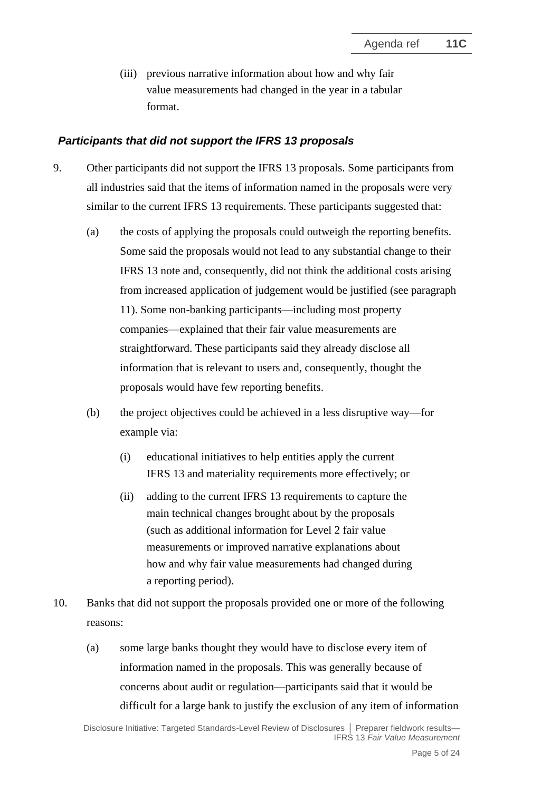(iii) previous narrative information about how and why fair value measurements had changed in the year in a tabular format.

### *Participants that did not support the IFRS 13 proposals*

- <span id="page-4-0"></span>9. Other participants did not support the IFRS 13 proposals. Some participants from all industries said that the items of information named in the proposals were very similar to the current IFRS 13 requirements. These participants suggested that:
	- (a) the costs of applying the proposals could outweigh the reporting benefits. Some said the proposals would not lead to any substantial change to their IFRS 13 note and, consequently, did not think the additional costs arising from increased application of judgement would be justified (see paragraph [11\)](#page-5-0). Some non-banking participants—including most property companies—explained that their fair value measurements are straightforward. These participants said they already disclose all information that is relevant to users and, consequently, thought the proposals would have few reporting benefits.
	- (b) the project objectives could be achieved in a less disruptive way—for example via:
		- (i) educational initiatives to help entities apply the current IFRS 13 and materiality requirements more effectively; or
		- (ii) adding to the current IFRS 13 requirements to capture the main technical changes brought about by the proposals (such as additional information for Level 2 fair value measurements or improved narrative explanations about how and why fair value measurements had changed during a reporting period).
- <span id="page-4-1"></span>10. Banks that did not support the proposals provided one or more of the following reasons:
	- (a) some large banks thought they would have to disclose every item of information named in the proposals. This was generally because of concerns about audit or regulation—participants said that it would be difficult for a large bank to justify the exclusion of any item of information

Disclosure Initiative: Targeted Standards-Level Review of Disclosures **│** Preparer fieldwork results— IFRS 13 *Fair Value Measurement*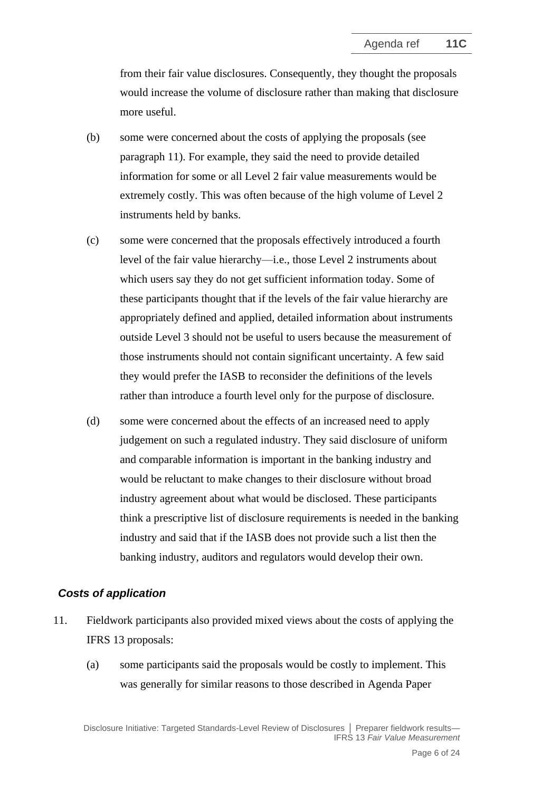from their fair value disclosures. Consequently, they thought the proposals would increase the volume of disclosure rather than making that disclosure more useful.

- (b) some were concerned about the costs of applying the proposals (see paragraph [11\)](#page-5-0). For example, they said the need to provide detailed information for some or all Level 2 fair value measurements would be extremely costly. This was often because of the high volume of Level 2 instruments held by banks.
- (c) some were concerned that the proposals effectively introduced a fourth level of the fair value hierarchy—i.e., those Level 2 instruments about which users say they do not get sufficient information today. Some of these participants thought that if the levels of the fair value hierarchy are appropriately defined and applied, detailed information about instruments outside Level 3 should not be useful to users because the measurement of those instruments should not contain significant uncertainty. A few said they would prefer the IASB to reconsider the definitions of the levels rather than introduce a fourth level only for the purpose of disclosure.
- (d) some were concerned about the effects of an increased need to apply judgement on such a regulated industry. They said disclosure of uniform and comparable information is important in the banking industry and would be reluctant to make changes to their disclosure without broad industry agreement about what would be disclosed. These participants think a prescriptive list of disclosure requirements is needed in the banking industry and said that if the IASB does not provide such a list then the banking industry, auditors and regulators would develop their own.

#### *Costs of application*

- <span id="page-5-0"></span>11. Fieldwork participants also provided mixed views about the costs of applying the IFRS 13 proposals:
	- (a) some participants said the proposals would be costly to implement. This was generally for similar reasons to those described in Agenda Paper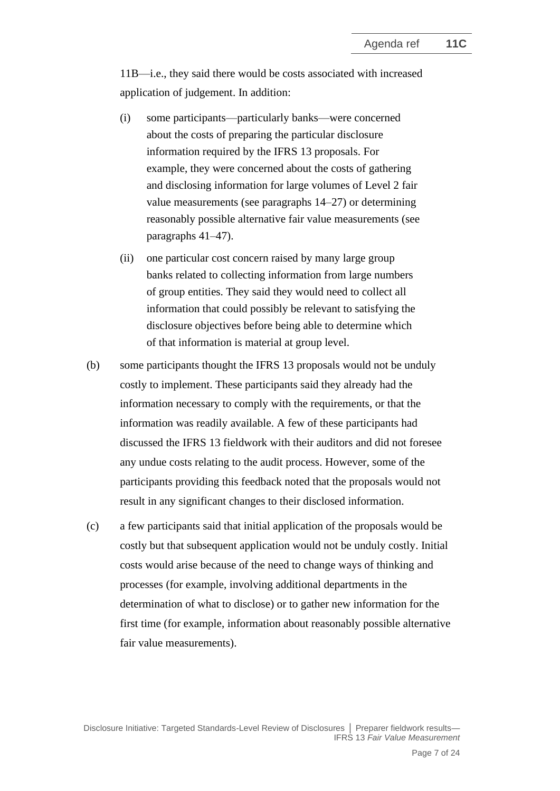11B—i.e., they said there would be costs associated with increased application of judgement. In addition:

- (i) some participants—particularly banks—were concerned about the costs of preparing the particular disclosure information required by the IFRS 13 proposals. For example, they were concerned about the costs of gathering and disclosing information for large volumes of Level 2 fair value measurements (see paragraphs [14](#page-7-2)[–27\)](#page-11-0) or determining reasonably possible alternative fair value measurements (see paragraphs [41–](#page-14-1)[47\)](#page-17-0).
- (ii) one particular cost concern raised by many large group banks related to collecting information from large numbers of group entities. They said they would need to collect all information that could possibly be relevant to satisfying the disclosure objectives before being able to determine which of that information is material at group level.
- (b) some participants thought the IFRS 13 proposals would not be unduly costly to implement. These participants said they already had the information necessary to comply with the requirements, or that the information was readily available. A few of these participants had discussed the IFRS 13 fieldwork with their auditors and did not foresee any undue costs relating to the audit process. However, some of the participants providing this feedback noted that the proposals would not result in any significant changes to their disclosed information.
- (c) a few participants said that initial application of the proposals would be costly but that subsequent application would not be unduly costly. Initial costs would arise because of the need to change ways of thinking and processes (for example, involving additional departments in the determination of what to disclose) or to gather new information for the first time (for example, information about reasonably possible alternative fair value measurements).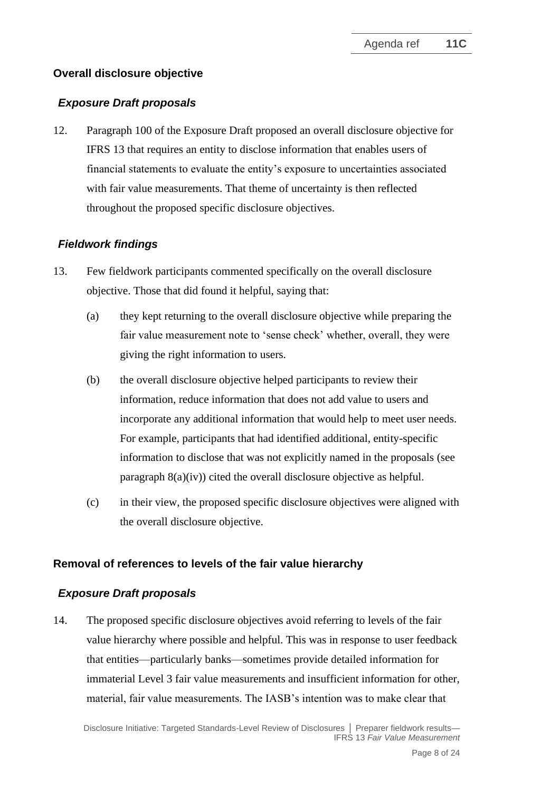# **Overall disclosure objective**

# *Exposure Draft proposals*

<span id="page-7-0"></span>12. Paragraph 100 of the Exposure Draft proposed an overall disclosure objective for IFRS 13 that requires an entity to disclose information that enables users of financial statements to evaluate the entity's exposure to uncertainties associated with fair value measurements. That theme of uncertainty is then reflected throughout the proposed specific disclosure objectives.

# *Fieldwork findings*

- <span id="page-7-1"></span>13. Few fieldwork participants commented specifically on the overall disclosure objective. Those that did found it helpful, saying that:
	- (a) they kept returning to the overall disclosure objective while preparing the fair value measurement note to 'sense check' whether, overall, they were giving the right information to users.
	- (b) the overall disclosure objective helped participants to review their information, reduce information that does not add value to users and incorporate any additional information that would help to meet user needs. For example, participants that had identified additional, entity-specific information to disclose that was not explicitly named in the proposals (see paragraph [8\(](#page-2-1)a)(iv)) cited the overall disclosure objective as helpful.
	- (c) in their view, the proposed specific disclosure objectives were aligned with the overall disclosure objective.

# **Removal of references to levels of the fair value hierarchy**

# *Exposure Draft proposals*

<span id="page-7-2"></span>14. The proposed specific disclosure objectives avoid referring to levels of the fair value hierarchy where possible and helpful. This was in response to user feedback that entities—particularly banks—sometimes provide detailed information for immaterial Level 3 fair value measurements and insufficient information for other, material, fair value measurements. The IASB's intention was to make clear that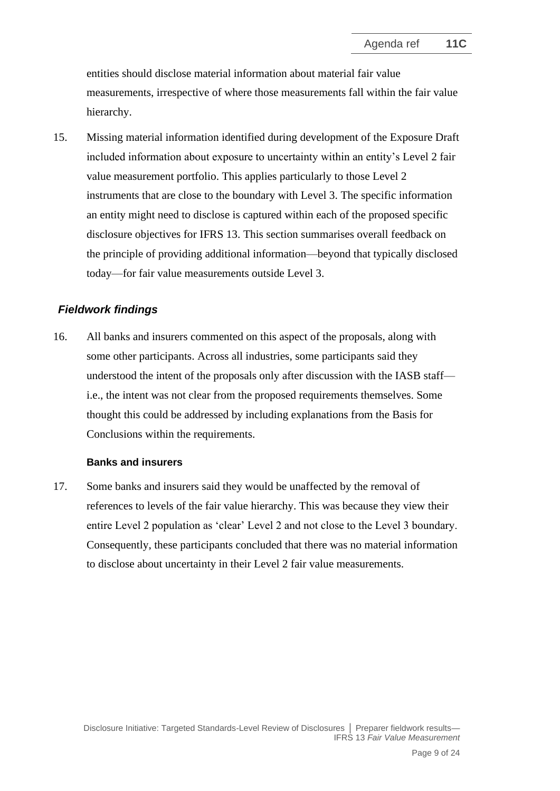entities should disclose material information about material fair value measurements, irrespective of where those measurements fall within the fair value hierarchy.

15. Missing material information identified during development of the Exposure Draft included information about exposure to uncertainty within an entity's Level 2 fair value measurement portfolio. This applies particularly to those Level 2 instruments that are close to the boundary with Level 3. The specific information an entity might need to disclose is captured within each of the proposed specific disclosure objectives for IFRS 13. This section summarises overall feedback on the principle of providing additional information—beyond that typically disclosed today—for fair value measurements outside Level 3.

# *Fieldwork findings*

16. All banks and insurers commented on this aspect of the proposals, along with some other participants. Across all industries, some participants said they understood the intent of the proposals only after discussion with the IASB staff i.e., the intent was not clear from the proposed requirements themselves. Some thought this could be addressed by including explanations from the Basis for Conclusions within the requirements.

#### **Banks and insurers**

17. Some banks and insurers said they would be unaffected by the removal of references to levels of the fair value hierarchy. This was because they view their entire Level 2 population as 'clear' Level 2 and not close to the Level 3 boundary. Consequently, these participants concluded that there was no material information to disclose about uncertainty in their Level 2 fair value measurements.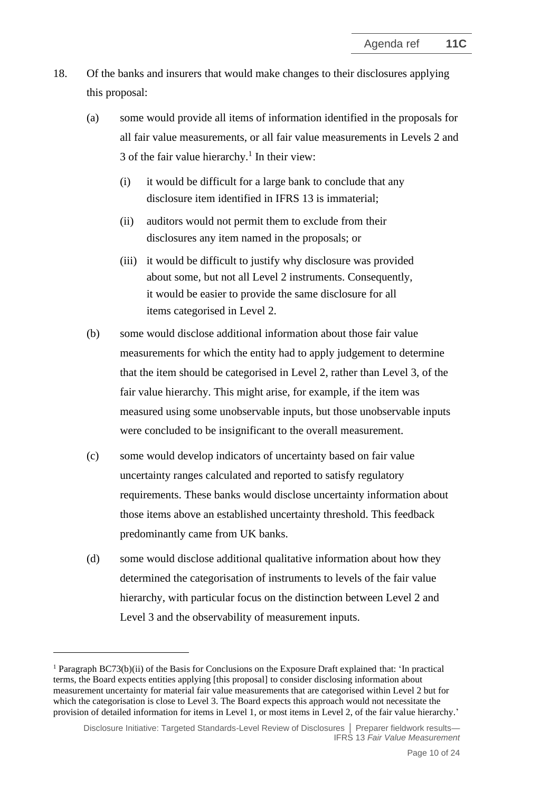- <span id="page-9-0"></span>18. Of the banks and insurers that would make changes to their disclosures applying this proposal:
	- (a) some would provide all items of information identified in the proposals for all fair value measurements, or all fair value measurements in Levels 2 and 3 of the fair value hierarchy.<sup>1</sup> In their view:
		- (i) it would be difficult for a large bank to conclude that any disclosure item identified in IFRS 13 is immaterial;
		- (ii) auditors would not permit them to exclude from their disclosures any item named in the proposals; or
		- (iii) it would be difficult to justify why disclosure was provided about some, but not all Level 2 instruments. Consequently, it would be easier to provide the same disclosure for all items categorised in Level 2.
	- (b) some would disclose additional information about those fair value measurements for which the entity had to apply judgement to determine that the item should be categorised in Level 2, rather than Level 3, of the fair value hierarchy. This might arise, for example, if the item was measured using some unobservable inputs, but those unobservable inputs were concluded to be insignificant to the overall measurement.
	- (c) some would develop indicators of uncertainty based on fair value uncertainty ranges calculated and reported to satisfy regulatory requirements. These banks would disclose uncertainty information about those items above an established uncertainty threshold. This feedback predominantly came from UK banks.
	- (d) some would disclose additional qualitative information about how they determined the categorisation of instruments to levels of the fair value hierarchy, with particular focus on the distinction between Level 2 and Level 3 and the observability of measurement inputs.

<sup>&</sup>lt;sup>1</sup> Paragraph BC73(b)(ii) of the Basis for Conclusions on the Exposure Draft explained that: 'In practical terms, the Board expects entities applying [this proposal] to consider disclosing information about measurement uncertainty for material fair value measurements that are categorised within Level 2 but for which the categorisation is close to Level 3. The Board expects this approach would not necessitate the provision of detailed information for items in Level 1, or most items in Level 2, of the fair value hierarchy.'

Disclosure Initiative: Targeted Standards-Level Review of Disclosures **│** Preparer fieldwork results— IFRS 13 *Fair Value Measurement*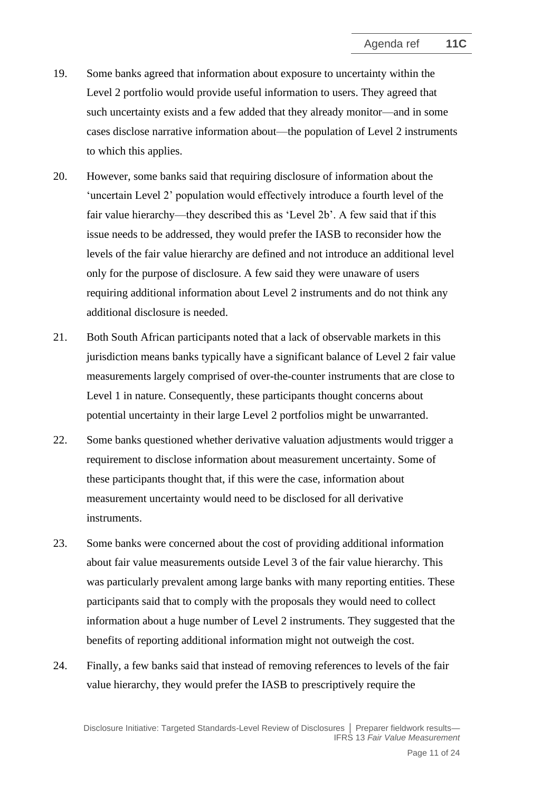- 19. Some banks agreed that information about exposure to uncertainty within the Level 2 portfolio would provide useful information to users. They agreed that such uncertainty exists and a few added that they already monitor—and in some cases disclose narrative information about—the population of Level 2 instruments to which this applies.
- <span id="page-10-0"></span>20. However, some banks said that requiring disclosure of information about the 'uncertain Level 2' population would effectively introduce a fourth level of the fair value hierarchy—they described this as 'Level 2b'. A few said that if this issue needs to be addressed, they would prefer the IASB to reconsider how the levels of the fair value hierarchy are defined and not introduce an additional level only for the purpose of disclosure. A few said they were unaware of users requiring additional information about Level 2 instruments and do not think any additional disclosure is needed.
- 21. Both South African participants noted that a lack of observable markets in this jurisdiction means banks typically have a significant balance of Level 2 fair value measurements largely comprised of over-the-counter instruments that are close to Level 1 in nature. Consequently, these participants thought concerns about potential uncertainty in their large Level 2 portfolios might be unwarranted.
- 22. Some banks questioned whether derivative valuation adjustments would trigger a requirement to disclose information about measurement uncertainty. Some of these participants thought that, if this were the case, information about measurement uncertainty would need to be disclosed for all derivative instruments.
- 23. Some banks were concerned about the cost of providing additional information about fair value measurements outside Level 3 of the fair value hierarchy. This was particularly prevalent among large banks with many reporting entities. These participants said that to comply with the proposals they would need to collect information about a huge number of Level 2 instruments. They suggested that the benefits of reporting additional information might not outweigh the cost.
- 24. Finally, a few banks said that instead of removing references to levels of the fair value hierarchy, they would prefer the IASB to prescriptively require the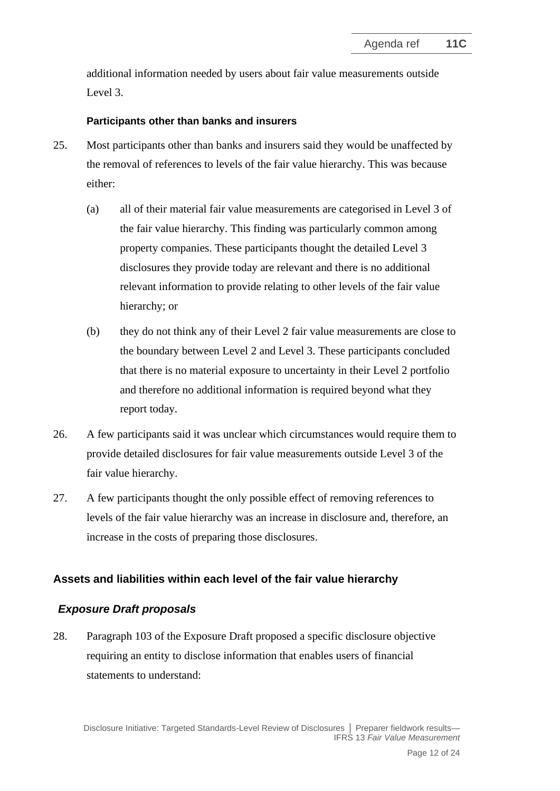additional information needed by users about fair value measurements outside Level 3.

### **Participants other than banks and insurers**

- 25. Most participants other than banks and insurers said they would be unaffected by the removal of references to levels of the fair value hierarchy. This was because either:
	- (a) all of their material fair value measurements are categorised in Level 3 of the fair value hierarchy. This finding was particularly common among property companies. These participants thought the detailed Level 3 disclosures they provide today are relevant and there is no additional relevant information to provide relating to other levels of the fair value hierarchy; or
	- (b) they do not think any of their Level 2 fair value measurements are close to the boundary between Level 2 and Level 3. These participants concluded that there is no material exposure to uncertainty in their Level 2 portfolio and therefore no additional information is required beyond what they report today.
- 26. A few participants said it was unclear which circumstances would require them to provide detailed disclosures for fair value measurements outside Level 3 of the fair value hierarchy.
- <span id="page-11-0"></span>27. A few participants thought the only possible effect of removing references to levels of the fair value hierarchy was an increase in disclosure and, therefore, an increase in the costs of preparing those disclosures.

# **Assets and liabilities within each level of the fair value hierarchy**

# *Exposure Draft proposals*

<span id="page-11-1"></span>28. Paragraph 103 of the Exposure Draft proposed a specific disclosure objective requiring an entity to disclose information that enables users of financial statements to understand: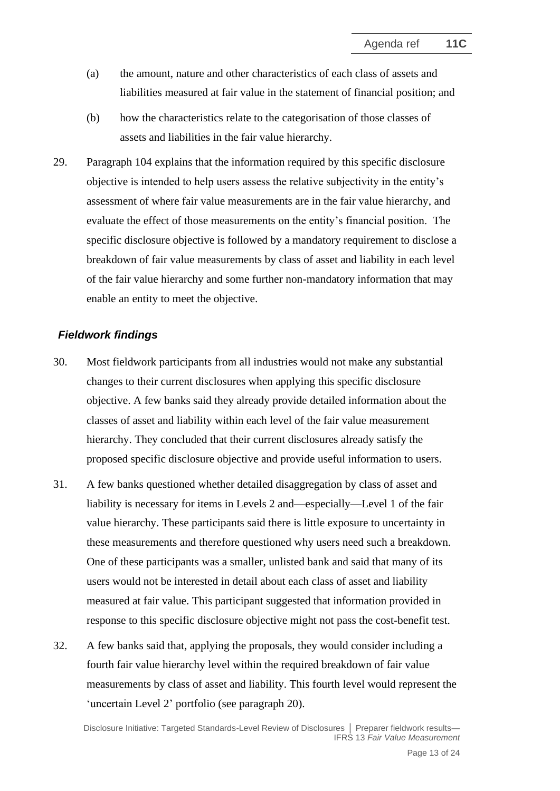- (a) the amount, nature and other characteristics of each class of assets and liabilities measured at fair value in the statement of financial position; and
- (b) how the characteristics relate to the categorisation of those classes of assets and liabilities in the fair value hierarchy.
- 29. Paragraph 104 explains that the information required by this specific disclosure objective is intended to help users assess the relative subjectivity in the entity's assessment of where fair value measurements are in the fair value hierarchy, and evaluate the effect of those measurements on the entity's financial position. The specific disclosure objective is followed by a mandatory requirement to disclose a breakdown of fair value measurements by class of asset and liability in each level of the fair value hierarchy and some further non-mandatory information that may enable an entity to meet the objective.

#### *Fieldwork findings*

- 30. Most fieldwork participants from all industries would not make any substantial changes to their current disclosures when applying this specific disclosure objective. A few banks said they already provide detailed information about the classes of asset and liability within each level of the fair value measurement hierarchy. They concluded that their current disclosures already satisfy the proposed specific disclosure objective and provide useful information to users.
- 31. A few banks questioned whether detailed disaggregation by class of asset and liability is necessary for items in Levels 2 and—especially—Level 1 of the fair value hierarchy. These participants said there is little exposure to uncertainty in these measurements and therefore questioned why users need such a breakdown. One of these participants was a smaller, unlisted bank and said that many of its users would not be interested in detail about each class of asset and liability measured at fair value. This participant suggested that information provided in response to this specific disclosure objective might not pass the cost-benefit test.
- 32. A few banks said that, applying the proposals, they would consider including a fourth fair value hierarchy level within the required breakdown of fair value measurements by class of asset and liability. This fourth level would represent the 'uncertain Level 2' portfolio (see paragraph [20\)](#page-10-0).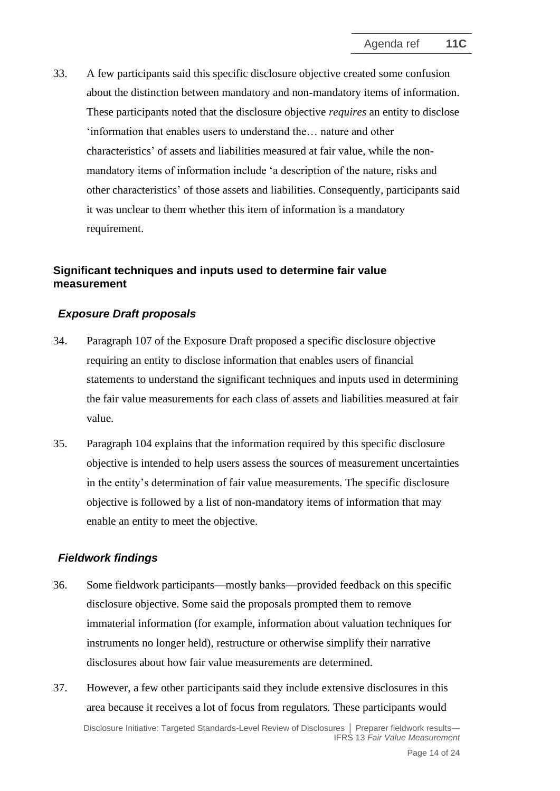<span id="page-13-0"></span>33. A few participants said this specific disclosure objective created some confusion about the distinction between mandatory and non-mandatory items of information. These participants noted that the disclosure objective *requires* an entity to disclose 'information that enables users to understand the… nature and other characteristics' of assets and liabilities measured at fair value, while the nonmandatory items of information include 'a description of the nature, risks and other characteristics' of those assets and liabilities. Consequently, participants said it was unclear to them whether this item of information is a mandatory requirement.

### **Significant techniques and inputs used to determine fair value measurement**

### *Exposure Draft proposals*

- <span id="page-13-1"></span>34. Paragraph 107 of the Exposure Draft proposed a specific disclosure objective requiring an entity to disclose information that enables users of financial statements to understand the significant techniques and inputs used in determining the fair value measurements for each class of assets and liabilities measured at fair value.
- 35. Paragraph 104 explains that the information required by this specific disclosure objective is intended to help users assess the sources of measurement uncertainties in the entity's determination of fair value measurements. The specific disclosure objective is followed by a list of non-mandatory items of information that may enable an entity to meet the objective.

#### *Fieldwork findings*

- 36. Some fieldwork participants—mostly banks—provided feedback on this specific disclosure objective. Some said the proposals prompted them to remove immaterial information (for example, information about valuation techniques for instruments no longer held), restructure or otherwise simplify their narrative disclosures about how fair value measurements are determined.
- Disclosure Initiative: Targeted Standards-Level Review of Disclosures **│** Preparer fieldwork results— IFRS 13 *Fair Value Measurement* 37. However, a few other participants said they include extensive disclosures in this area because it receives a lot of focus from regulators. These participants would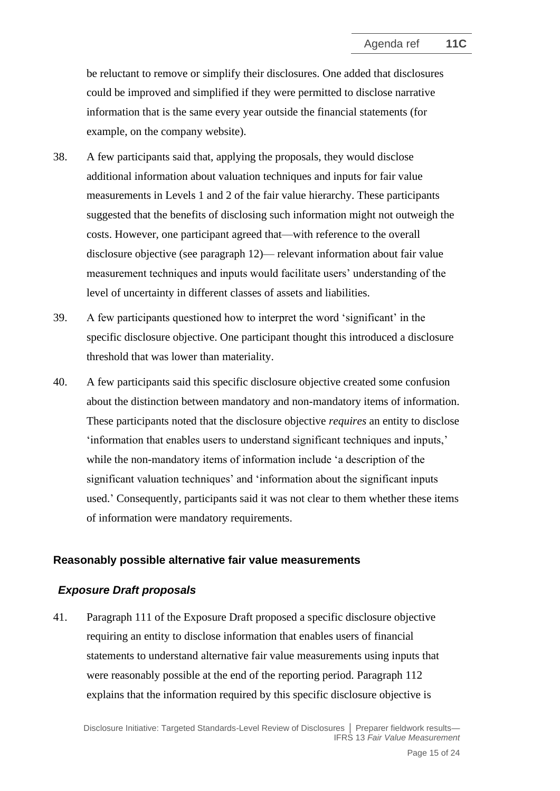be reluctant to remove or simplify their disclosures. One added that disclosures could be improved and simplified if they were permitted to disclose narrative information that is the same every year outside the financial statements (for example, on the company website).

- 38. A few participants said that, applying the proposals, they would disclose additional information about valuation techniques and inputs for fair value measurements in Levels 1 and 2 of the fair value hierarchy. These participants suggested that the benefits of disclosing such information might not outweigh the costs. However, one participant agreed that—with reference to the overall disclosure objective (see paragraph [12\)](#page-7-0)— relevant information about fair value measurement techniques and inputs would facilitate users' understanding of the level of uncertainty in different classes of assets and liabilities.
- 39. A few participants questioned how to interpret the word 'significant' in the specific disclosure objective. One participant thought this introduced a disclosure threshold that was lower than materiality.
- <span id="page-14-0"></span>40. A few participants said this specific disclosure objective created some confusion about the distinction between mandatory and non-mandatory items of information. These participants noted that the disclosure objective *requires* an entity to disclose 'information that enables users to understand significant techniques and inputs,' while the non-mandatory items of information include 'a description of the significant valuation techniques' and 'information about the significant inputs used.' Consequently, participants said it was not clear to them whether these items of information were mandatory requirements.

#### **Reasonably possible alternative fair value measurements**

#### *Exposure Draft proposals*

<span id="page-14-1"></span>41. Paragraph 111 of the Exposure Draft proposed a specific disclosure objective requiring an entity to disclose information that enables users of financial statements to understand alternative fair value measurements using inputs that were reasonably possible at the end of the reporting period. Paragraph 112 explains that the information required by this specific disclosure objective is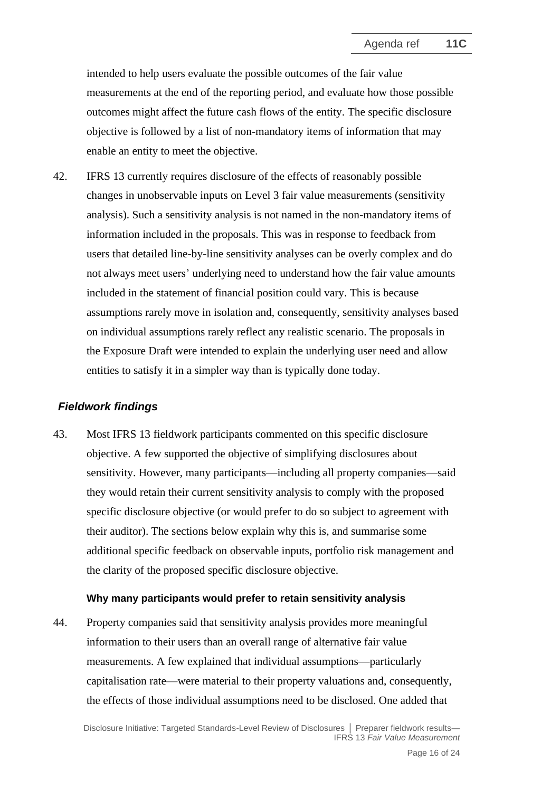intended to help users evaluate the possible outcomes of the fair value measurements at the end of the reporting period, and evaluate how those possible outcomes might affect the future cash flows of the entity. The specific disclosure objective is followed by a list of non-mandatory items of information that may enable an entity to meet the objective.

<span id="page-15-0"></span>42. IFRS 13 currently requires disclosure of the effects of reasonably possible changes in unobservable inputs on Level 3 fair value measurements (sensitivity analysis). Such a sensitivity analysis is not named in the non-mandatory items of information included in the proposals. This was in response to feedback from users that detailed line-by-line sensitivity analyses can be overly complex and do not always meet users' underlying need to understand how the fair value amounts included in the statement of financial position could vary. This is because assumptions rarely move in isolation and, consequently, sensitivity analyses based on individual assumptions rarely reflect any realistic scenario. The proposals in the Exposure Draft were intended to explain the underlying user need and allow entities to satisfy it in a simpler way than is typically done today.

### *Fieldwork findings*

43. Most IFRS 13 fieldwork participants commented on this specific disclosure objective. A few supported the objective of simplifying disclosures about sensitivity. However, many participants—including all property companies—said they would retain their current sensitivity analysis to comply with the proposed specific disclosure objective (or would prefer to do so subject to agreement with their auditor). The sections below explain why this is, and summarise some additional specific feedback on observable inputs, portfolio risk management and the clarity of the proposed specific disclosure objective.

#### **Why many participants would prefer to retain sensitivity analysis**

44. Property companies said that sensitivity analysis provides more meaningful information to their users than an overall range of alternative fair value measurements. A few explained that individual assumptions—particularly capitalisation rate—were material to their property valuations and, consequently, the effects of those individual assumptions need to be disclosed. One added that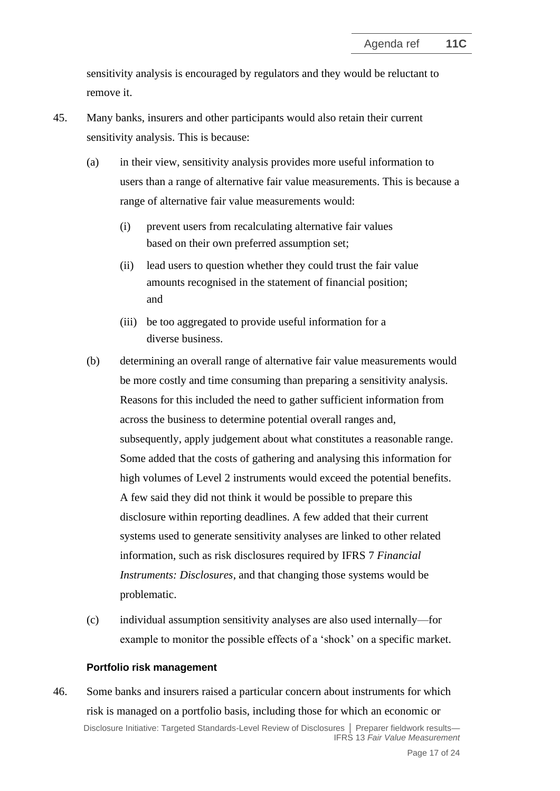sensitivity analysis is encouraged by regulators and they would be reluctant to remove it.

- 45. Many banks, insurers and other participants would also retain their current sensitivity analysis. This is because:
	- (a) in their view, sensitivity analysis provides more useful information to users than a range of alternative fair value measurements. This is because a range of alternative fair value measurements would:
		- (i) prevent users from recalculating alternative fair values based on their own preferred assumption set;
		- (ii) lead users to question whether they could trust the fair value amounts recognised in the statement of financial position; and
		- (iii) be too aggregated to provide useful information for a diverse business.
	- (b) determining an overall range of alternative fair value measurements would be more costly and time consuming than preparing a sensitivity analysis. Reasons for this included the need to gather sufficient information from across the business to determine potential overall ranges and, subsequently, apply judgement about what constitutes a reasonable range. Some added that the costs of gathering and analysing this information for high volumes of Level 2 instruments would exceed the potential benefits. A few said they did not think it would be possible to prepare this disclosure within reporting deadlines. A few added that their current systems used to generate sensitivity analyses are linked to other related information, such as risk disclosures required by IFRS 7 *Financial Instruments: Disclosures*, and that changing those systems would be problematic.
	- (c) individual assumption sensitivity analyses are also used internally—for example to monitor the possible effects of a 'shock' on a specific market.

### **Portfolio risk management**

Disclosure Initiative: Targeted Standards-Level Review of Disclosures **│** Preparer fieldwork results— IFRS 13 *Fair Value Measurement* 46. Some banks and insurers raised a particular concern about instruments for which risk is managed on a portfolio basis, including those for which an economic or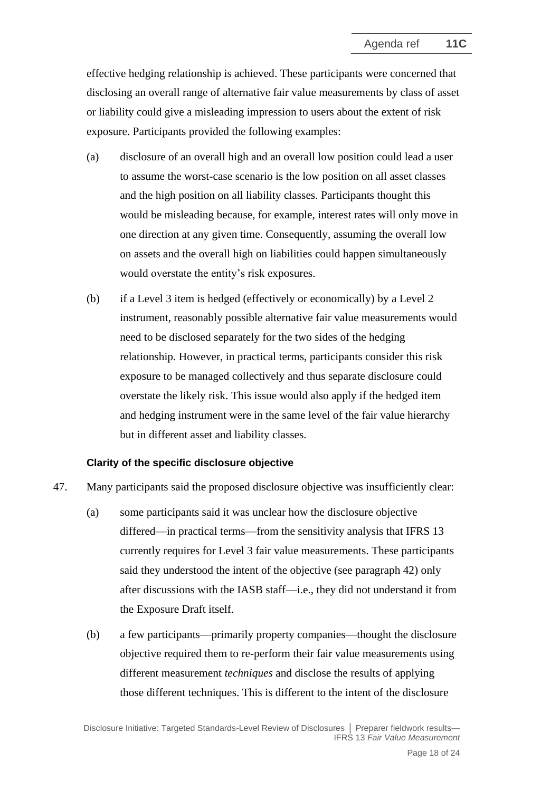effective hedging relationship is achieved. These participants were concerned that disclosing an overall range of alternative fair value measurements by class of asset or liability could give a misleading impression to users about the extent of risk exposure. Participants provided the following examples:

- (a) disclosure of an overall high and an overall low position could lead a user to assume the worst-case scenario is the low position on all asset classes and the high position on all liability classes. Participants thought this would be misleading because, for example, interest rates will only move in one direction at any given time. Consequently, assuming the overall low on assets and the overall high on liabilities could happen simultaneously would overstate the entity's risk exposures.
- (b) if a Level 3 item is hedged (effectively or economically) by a Level 2 instrument, reasonably possible alternative fair value measurements would need to be disclosed separately for the two sides of the hedging relationship. However, in practical terms, participants consider this risk exposure to be managed collectively and thus separate disclosure could overstate the likely risk. This issue would also apply if the hedged item and hedging instrument were in the same level of the fair value hierarchy but in different asset and liability classes.

### **Clarity of the specific disclosure objective**

- <span id="page-17-0"></span>47. Many participants said the proposed disclosure objective was insufficiently clear:
	- (a) some participants said it was unclear how the disclosure objective differed—in practical terms—from the sensitivity analysis that IFRS 13 currently requires for Level 3 fair value measurements. These participants said they understood the intent of the objective (see paragraph [42\)](#page-15-0) only after discussions with the IASB staff—i.e., they did not understand it from the Exposure Draft itself.
	- (b) a few participants—primarily property companies—thought the disclosure objective required them to re-perform their fair value measurements using different measurement *techniques* and disclose the results of applying those different techniques. This is different to the intent of the disclosure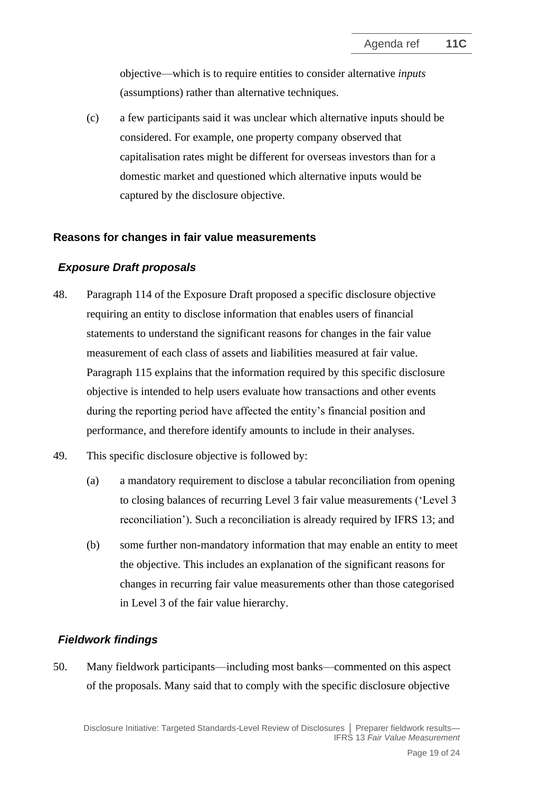objective—which is to require entities to consider alternative *inputs*  (assumptions) rather than alternative techniques.

(c) a few participants said it was unclear which alternative inputs should be considered. For example, one property company observed that capitalisation rates might be different for overseas investors than for a domestic market and questioned which alternative inputs would be captured by the disclosure objective.

### **Reasons for changes in fair value measurements**

### *Exposure Draft proposals*

- <span id="page-18-0"></span>48. Paragraph 114 of the Exposure Draft proposed a specific disclosure objective requiring an entity to disclose information that enables users of financial statements to understand the significant reasons for changes in the fair value measurement of each class of assets and liabilities measured at fair value. Paragraph 115 explains that the information required by this specific disclosure objective is intended to help users evaluate how transactions and other events during the reporting period have affected the entity's financial position and performance, and therefore identify amounts to include in their analyses.
- 49. This specific disclosure objective is followed by:
	- (a) a mandatory requirement to disclose a tabular reconciliation from opening to closing balances of recurring Level 3 fair value measurements ('Level 3 reconciliation'). Such a reconciliation is already required by IFRS 13; and
	- (b) some further non-mandatory information that may enable an entity to meet the objective. This includes an explanation of the significant reasons for changes in recurring fair value measurements other than those categorised in Level 3 of the fair value hierarchy.

# *Fieldwork findings*

50. Many fieldwork participants—including most banks—commented on this aspect of the proposals. Many said that to comply with the specific disclosure objective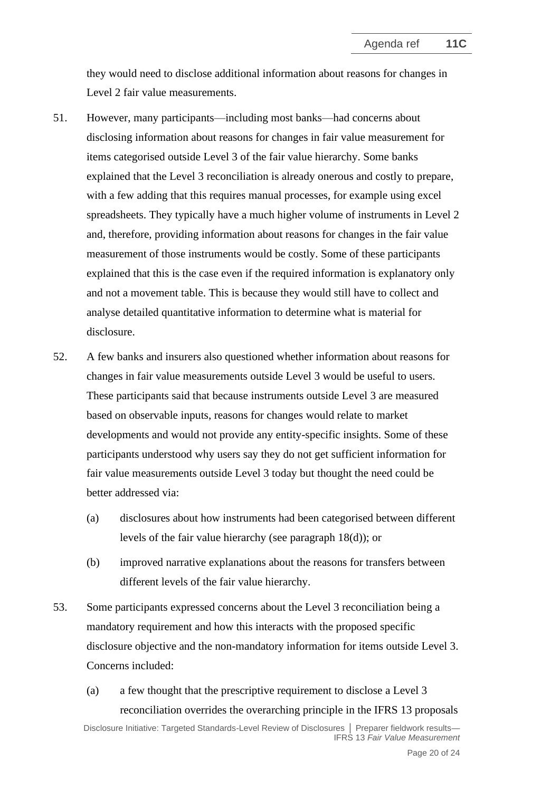they would need to disclose additional information about reasons for changes in Level 2 fair value measurements.

- 51. However, many participants—including most banks—had concerns about disclosing information about reasons for changes in fair value measurement for items categorised outside Level 3 of the fair value hierarchy. Some banks explained that the Level 3 reconciliation is already onerous and costly to prepare, with a few adding that this requires manual processes, for example using excel spreadsheets. They typically have a much higher volume of instruments in Level 2 and, therefore, providing information about reasons for changes in the fair value measurement of those instruments would be costly. Some of these participants explained that this is the case even if the required information is explanatory only and not a movement table. This is because they would still have to collect and analyse detailed quantitative information to determine what is material for disclosure.
- 52. A few banks and insurers also questioned whether information about reasons for changes in fair value measurements outside Level 3 would be useful to users. These participants said that because instruments outside Level 3 are measured based on observable inputs, reasons for changes would relate to market developments and would not provide any entity-specific insights. Some of these participants understood why users say they do not get sufficient information for fair value measurements outside Level 3 today but thought the need could be better addressed via:
	- (a) disclosures about how instruments had been categorised between different levels of the fair value hierarchy (see paragraph [18\(](#page-9-0)d)); or
	- (b) improved narrative explanations about the reasons for transfers between different levels of the fair value hierarchy.
- 53. Some participants expressed concerns about the Level 3 reconciliation being a mandatory requirement and how this interacts with the proposed specific disclosure objective and the non-mandatory information for items outside Level 3. Concerns included:
	- (a) a few thought that the prescriptive requirement to disclose a Level 3 reconciliation overrides the overarching principle in the IFRS 13 proposals

Disclosure Initiative: Targeted Standards-Level Review of Disclosures **│** Preparer fieldwork results— IFRS 13 *Fair Value Measurement*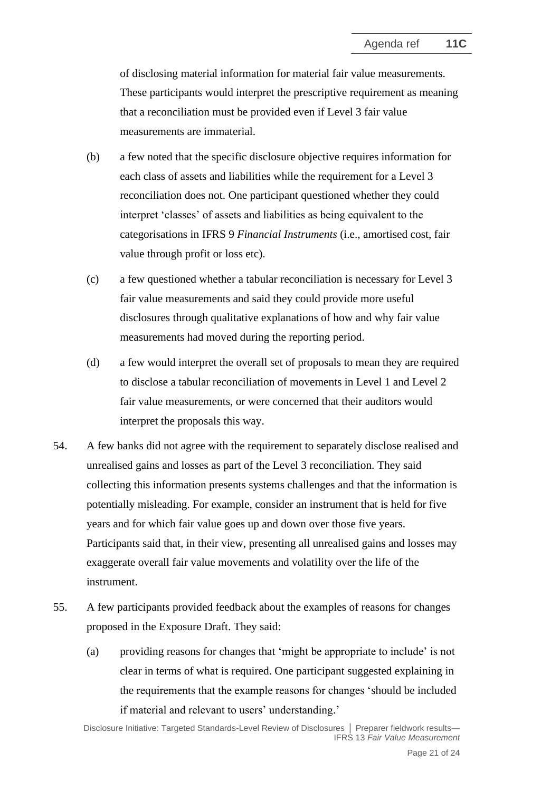of disclosing material information for material fair value measurements. These participants would interpret the prescriptive requirement as meaning that a reconciliation must be provided even if Level 3 fair value measurements are immaterial.

- (b) a few noted that the specific disclosure objective requires information for each class of assets and liabilities while the requirement for a Level 3 reconciliation does not. One participant questioned whether they could interpret 'classes' of assets and liabilities as being equivalent to the categorisations in IFRS 9 *Financial Instruments* (i.e., amortised cost, fair value through profit or loss etc).
- (c) a few questioned whether a tabular reconciliation is necessary for Level 3 fair value measurements and said they could provide more useful disclosures through qualitative explanations of how and why fair value measurements had moved during the reporting period.
- (d) a few would interpret the overall set of proposals to mean they are required to disclose a tabular reconciliation of movements in Level 1 and Level 2 fair value measurements, or were concerned that their auditors would interpret the proposals this way.
- 54. A few banks did not agree with the requirement to separately disclose realised and unrealised gains and losses as part of the Level 3 reconciliation. They said collecting this information presents systems challenges and that the information is potentially misleading. For example, consider an instrument that is held for five years and for which fair value goes up and down over those five years. Participants said that, in their view, presenting all unrealised gains and losses may exaggerate overall fair value movements and volatility over the life of the instrument.
- <span id="page-20-0"></span>55. A few participants provided feedback about the examples of reasons for changes proposed in the Exposure Draft. They said:
	- (a) providing reasons for changes that 'might be appropriate to include' is not clear in terms of what is required. One participant suggested explaining in the requirements that the example reasons for changes 'should be included if material and relevant to users' understanding.'

Disclosure Initiative: Targeted Standards-Level Review of Disclosures **│** Preparer fieldwork results— IFRS 13 *Fair Value Measurement*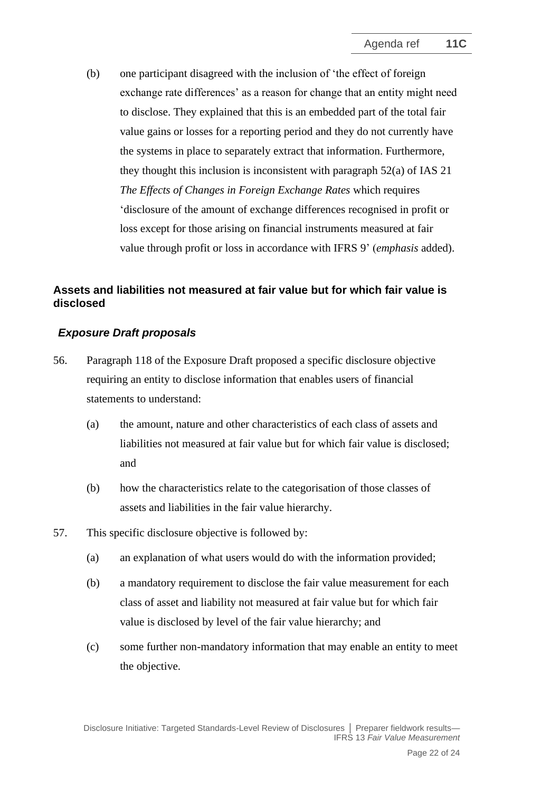(b) one participant disagreed with the inclusion of 'the effect of foreign exchange rate differences' as a reason for change that an entity might need to disclose. They explained that this is an embedded part of the total fair value gains or losses for a reporting period and they do not currently have the systems in place to separately extract that information. Furthermore, they thought this inclusion is inconsistent with paragraph 52(a) of IAS 21 *The Effects of Changes in Foreign Exchange Rates* which requires 'disclosure of the amount of exchange differences recognised in profit or loss except for those arising on financial instruments measured at fair value through profit or loss in accordance with IFRS 9' (*emphasis* added).

# **Assets and liabilities not measured at fair value but for which fair value is disclosed**

### *Exposure Draft proposals*

- <span id="page-21-0"></span>56. Paragraph 118 of the Exposure Draft proposed a specific disclosure objective requiring an entity to disclose information that enables users of financial statements to understand:
	- (a) the amount, nature and other characteristics of each class of assets and liabilities not measured at fair value but for which fair value is disclosed; and
	- (b) how the characteristics relate to the categorisation of those classes of assets and liabilities in the fair value hierarchy.
- 57. This specific disclosure objective is followed by:
	- (a) an explanation of what users would do with the information provided;
	- (b) a mandatory requirement to disclose the fair value measurement for each class of asset and liability not measured at fair value but for which fair value is disclosed by level of the fair value hierarchy; and
	- (c) some further non-mandatory information that may enable an entity to meet the objective.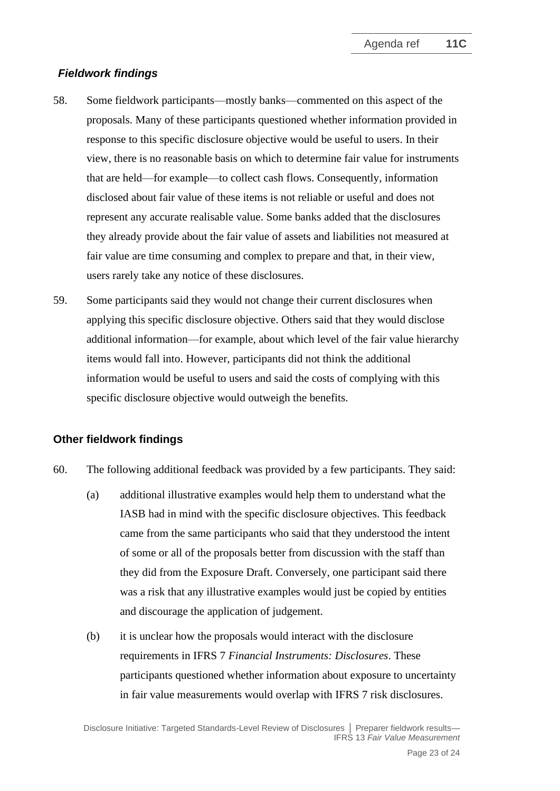# *Fieldwork findings*

- 58. Some fieldwork participants—mostly banks—commented on this aspect of the proposals. Many of these participants questioned whether information provided in response to this specific disclosure objective would be useful to users. In their view, there is no reasonable basis on which to determine fair value for instruments that are held—for example—to collect cash flows. Consequently, information disclosed about fair value of these items is not reliable or useful and does not represent any accurate realisable value. Some banks added that the disclosures they already provide about the fair value of assets and liabilities not measured at fair value are time consuming and complex to prepare and that, in their view, users rarely take any notice of these disclosures.
- <span id="page-22-0"></span>59. Some participants said they would not change their current disclosures when applying this specific disclosure objective. Others said that they would disclose additional information—for example, about which level of the fair value hierarchy items would fall into. However, participants did not think the additional information would be useful to users and said the costs of complying with this specific disclosure objective would outweigh the benefits.

### **Other fieldwork findings**

- <span id="page-22-1"></span>60. The following additional feedback was provided by a few participants. They said:
	- (a) additional illustrative examples would help them to understand what the IASB had in mind with the specific disclosure objectives. This feedback came from the same participants who said that they understood the intent of some or all of the proposals better from discussion with the staff than they did from the Exposure Draft. Conversely, one participant said there was a risk that any illustrative examples would just be copied by entities and discourage the application of judgement.
	- (b) it is unclear how the proposals would interact with the disclosure requirements in IFRS 7 *Financial Instruments: Disclosures*. These participants questioned whether information about exposure to uncertainty in fair value measurements would overlap with IFRS 7 risk disclosures.